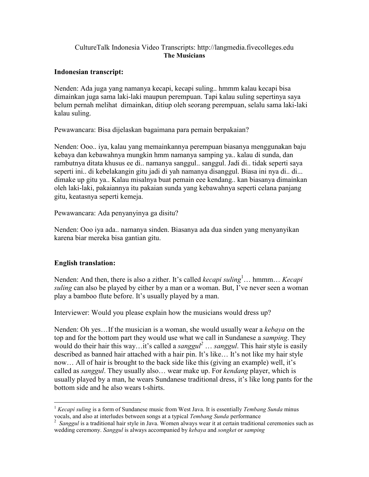## CultureTalk Indonesia Video Transcripts: http://langmedia.fivecolleges.edu The Musicians

## Indonesian transcript:

Nenden: Ada juga yang namanya kecapi, kecapi suling.. hmmm kalau kecapi bisa dimainkan juga sama laki-laki maupun perempuan. Tapi kalau suling sepertinya saya belum pernah melihat dimainkan, ditiup oleh seorang perempuan, selalu sama laki-laki kalau suling.

Pewawancara: Bisa dijelaskan bagaimana para pemain berpakaian?

Nenden: Ooo.. iya, kalau yang memainkannya perempuan biasanya menggunakan baju kebaya dan kebawahnya mungkin hmm namanya samping ya.. kalau di sunda, dan rambutnya ditata khusus ee di.. namanya sanggul.. sanggul. Jadi di.. tidak seperti saya seperti ini.. di kebelakangin gitu jadi di yah namanya disanggul. Biasa ini nya di.. di... dimake up gitu ya.. Kalau misalnya buat pemain eee kendang.. kan biasanya dimainkan oleh laki-laki, pakaiannya itu pakaian sunda yang kebawahnya seperti celana panjang gitu, keatasnya seperti kemeja.

Pewawancara: Ada penyanyinya ga disitu?

Nenden: Ooo iya ada.. namanya sinden. Biasanya ada dua sinden yang menyanyikan karena biar mereka bisa gantian gitu.

## English translation:

Nenden: And then, there is also a zither. It's called *kecapi suling*<sup>1</sup>... hmmm... *Kecapi* suling can also be played by either by a man or a woman. But, I've never seen a woman play a bamboo flute before. It's usually played by a man.

Interviewer: Would you please explain how the musicians would dress up?

Nenden: Oh yes... If the musician is a woman, she would usually wear a kebaya on the top and for the bottom part they would use what we call in Sundanese a *samping*. They would do their hair this way...it's called a sanggul<sup>2</sup> ... sanggul. This hair style is easily described as banned hair attached with a hair pin. It's like… It's not like my hair style now… All of hair is brought to the back side like this (giving an example) well, it's called as *sanggul*. They usually also... wear make up. For *kendang* player, which is usually played by a man, he wears Sundanese traditional dress, it's like long pants for the bottom side and he also wears t-shirts.

 $\overline{a}$ <sup>1</sup> Kecapi suling is a form of [Sundanese](http://en.wikipedia.org/wiki/Sundanese_people) music from [West Java.](http://en.wikipedia.org/wiki/West_Java) It is essentially [Tembang Sunda](http://en.wikipedia.org/wiki/Tembang_Sunda) minus

vocals, and also at interludes between songs at a typical *Tembang Sunda* performance<br><sup>2</sup> Sanggul is a traditional hair style in Java. Women always wear it at certain traditional ceremonies such as wedding ceremony. Sanggul is always accompanied by kebaya and songket or samping